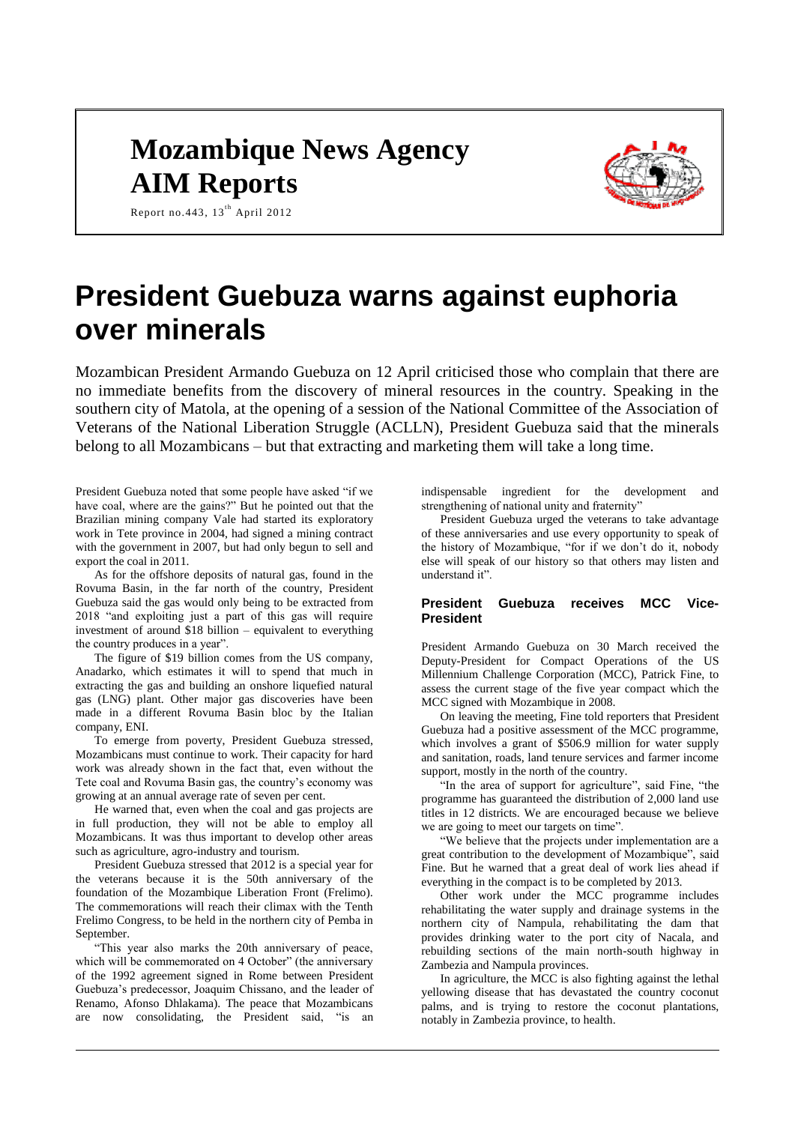# **Mozambique News Agency AIM Reports**



Report no. 443,  $13^{th}$  April 2012

# **President Guebuza warns against euphoria over minerals**

Mozambican President Armando Guebuza on 12 April criticised those who complain that there are no immediate benefits from the discovery of mineral resources in the country. Speaking in the southern city of Matola, at the opening of a session of the National Committee of the Association of Veterans of the National Liberation Struggle (ACLLN), President Guebuza said that the minerals belong to all Mozambicans – but that extracting and marketing them will take a long time.

President Guebuza noted that some people have asked "if we have coal, where are the gains?" But he pointed out that the Brazilian mining company Vale had started its exploratory work in Tete province in 2004, had signed a mining contract with the government in 2007, but had only begun to sell and export the coal in 2011.

As for the offshore deposits of natural gas, found in the Rovuma Basin, in the far north of the country, President Guebuza said the gas would only being to be extracted from 2018 "and exploiting just a part of this gas will require investment of around \$18 billion – equivalent to everything the country produces in a year".

The figure of \$19 billion comes from the US company, Anadarko, which estimates it will to spend that much in extracting the gas and building an onshore liquefied natural gas (LNG) plant. Other major gas discoveries have been made in a different Rovuma Basin bloc by the Italian company, ENI.

To emerge from poverty, President Guebuza stressed, Mozambicans must continue to work. Their capacity for hard work was already shown in the fact that, even without the Tete coal and Rovuma Basin gas, the country's economy was growing at an annual average rate of seven per cent.

He warned that, even when the coal and gas projects are in full production, they will not be able to employ all Mozambicans. It was thus important to develop other areas such as agriculture, agro-industry and tourism.

President Guebuza stressed that 2012 is a special year for the veterans because it is the 50th anniversary of the foundation of the Mozambique Liberation Front (Frelimo). The commemorations will reach their climax with the Tenth Frelimo Congress, to be held in the northern city of Pemba in September.

"This year also marks the 20th anniversary of peace, which will be commemorated on 4 October" (the anniversary of the 1992 agreement signed in Rome between President Guebuza's predecessor, Joaquim Chissano, and the leader of Renamo, Afonso Dhlakama). The peace that Mozambicans are now consolidating, the President said, "is an indispensable ingredient for the development and strengthening of national unity and fraternity"

President Guebuza urged the veterans to take advantage of these anniversaries and use every opportunity to speak of the history of Mozambique, "for if we don't do it, nobody else will speak of our history so that others may listen and understand it".

# **President Guebuza receives MCC Vice-President**

President Armando Guebuza on 30 March received the Deputy-President for Compact Operations of the US Millennium Challenge Corporation (MCC), Patrick Fine, to assess the current stage of the five year compact which the MCC signed with Mozambique in 2008.

On leaving the meeting, Fine told reporters that President Guebuza had a positive assessment of the MCC programme, which involves a grant of \$506.9 million for water supply and sanitation, roads, land tenure services and farmer income support, mostly in the north of the country.

"In the area of support for agriculture", said Fine, "the programme has guaranteed the distribution of 2,000 land use titles in 12 districts. We are encouraged because we believe we are going to meet our targets on time".

"We believe that the projects under implementation are a great contribution to the development of Mozambique", said Fine. But he warned that a great deal of work lies ahead if everything in the compact is to be completed by 2013.

Other work under the MCC programme includes rehabilitating the water supply and drainage systems in the northern city of Nampula, rehabilitating the dam that provides drinking water to the port city of Nacala, and rebuilding sections of the main north-south highway in Zambezia and Nampula provinces.

In agriculture, the MCC is also fighting against the lethal yellowing disease that has devastated the country coconut palms, and is trying to restore the coconut plantations, notably in Zambezia province, to health.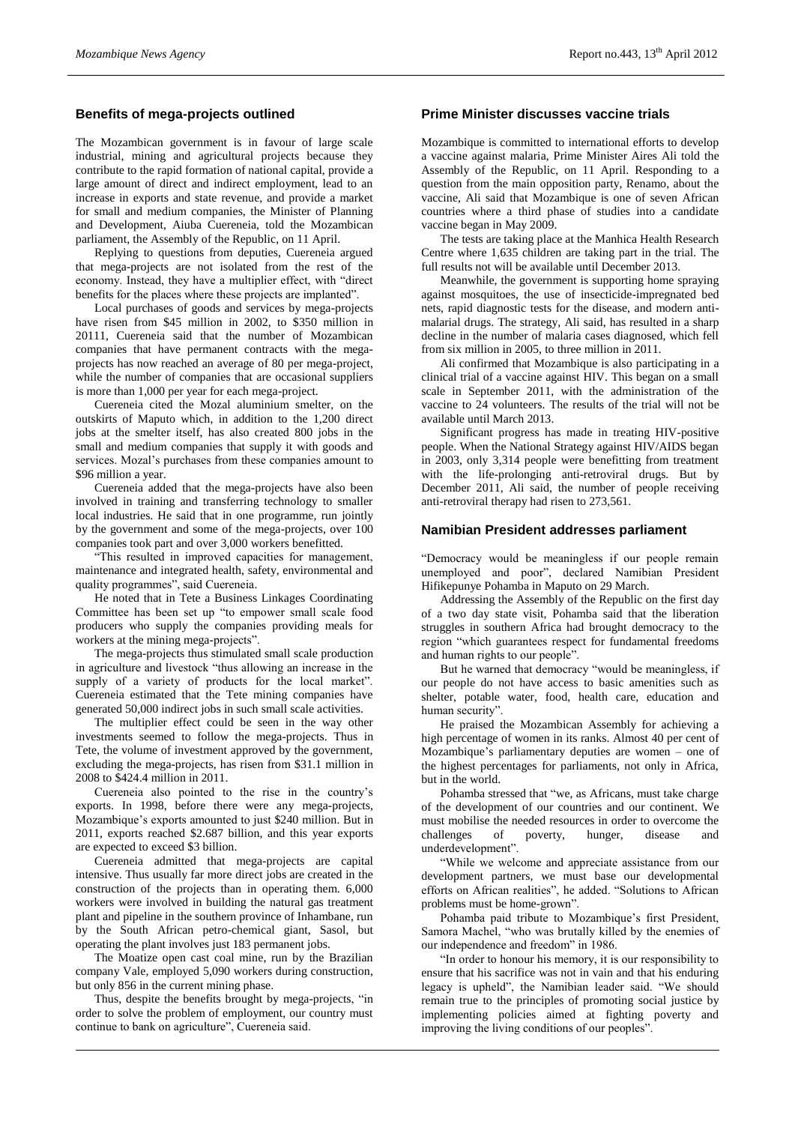### **Benefits of mega-projects outlined**

The Mozambican government is in favour of large scale industrial, mining and agricultural projects because they contribute to the rapid formation of national capital, provide a large amount of direct and indirect employment, lead to an increase in exports and state revenue, and provide a market for small and medium companies, the Minister of Planning and Development, Aiuba Cuereneia, told the Mozambican parliament, the Assembly of the Republic, on 11 April.

Replying to questions from deputies, Cuereneia argued that mega-projects are not isolated from the rest of the economy. Instead, they have a multiplier effect, with "direct benefits for the places where these projects are implanted".

Local purchases of goods and services by mega-projects have risen from \$45 million in 2002, to \$350 million in 20111, Cuereneia said that the number of Mozambican companies that have permanent contracts with the megaprojects has now reached an average of 80 per mega-project, while the number of companies that are occasional suppliers is more than 1,000 per year for each mega-project.

Cuereneia cited the Mozal aluminium smelter, on the outskirts of Maputo which, in addition to the 1,200 direct jobs at the smelter itself, has also created 800 jobs in the small and medium companies that supply it with goods and services. Mozal's purchases from these companies amount to \$96 million a year.

Cuereneia added that the mega-projects have also been involved in training and transferring technology to smaller local industries. He said that in one programme, run jointly by the government and some of the mega-projects, over 100 companies took part and over 3,000 workers benefitted.

"This resulted in improved capacities for management, maintenance and integrated health, safety, environmental and quality programmes", said Cuereneia.

He noted that in Tete a Business Linkages Coordinating Committee has been set up "to empower small scale food producers who supply the companies providing meals for workers at the mining mega-projects".

The mega-projects thus stimulated small scale production in agriculture and livestock "thus allowing an increase in the supply of a variety of products for the local market". Cuereneia estimated that the Tete mining companies have generated 50,000 indirect jobs in such small scale activities.

The multiplier effect could be seen in the way other investments seemed to follow the mega-projects. Thus in Tete, the volume of investment approved by the government, excluding the mega-projects, has risen from \$31.1 million in 2008 to \$424.4 million in 2011.

Cuereneia also pointed to the rise in the country's exports. In 1998, before there were any mega-projects, Mozambique's exports amounted to just \$240 million. But in 2011, exports reached \$2.687 billion, and this year exports are expected to exceed \$3 billion.

Cuereneia admitted that mega-projects are capital intensive. Thus usually far more direct jobs are created in the construction of the projects than in operating them. 6,000 workers were involved in building the natural gas treatment plant and pipeline in the southern province of Inhambane, run by the South African petro-chemical giant, Sasol, but operating the plant involves just 183 permanent jobs.

The Moatize open cast coal mine, run by the Brazilian company Vale, employed 5,090 workers during construction, but only 856 in the current mining phase.

Thus, despite the benefits brought by mega-projects, "in order to solve the problem of employment, our country must continue to bank on agriculture", Cuereneia said.

#### **Prime Minister discusses vaccine trials**

Mozambique is committed to international efforts to develop a vaccine against malaria, Prime Minister Aires Ali told the Assembly of the Republic, on 11 April. Responding to a question from the main opposition party, Renamo, about the vaccine, Ali said that Mozambique is one of seven African countries where a third phase of studies into a candidate vaccine began in May 2009.

The tests are taking place at the Manhica Health Research Centre where 1,635 children are taking part in the trial. The full results not will be available until December 2013.

Meanwhile, the government is supporting home spraying against mosquitoes, the use of insecticide-impregnated bed nets, rapid diagnostic tests for the disease, and modern antimalarial drugs. The strategy, Ali said, has resulted in a sharp decline in the number of malaria cases diagnosed, which fell from six million in 2005, to three million in 2011.

Ali confirmed that Mozambique is also participating in a clinical trial of a vaccine against HIV. This began on a small scale in September 2011, with the administration of the vaccine to 24 volunteers. The results of the trial will not be available until March 2013.

Significant progress has made in treating HIV-positive people. When the National Strategy against HIV/AIDS began in 2003, only 3,314 people were benefitting from treatment with the life-prolonging anti-retroviral drugs. But by December 2011, Ali said, the number of people receiving anti-retroviral therapy had risen to 273,561.

#### **Namibian President addresses parliament**

"Democracy would be meaningless if our people remain unemployed and poor", declared Namibian President Hifikepunye Pohamba in Maputo on 29 March.

Addressing the Assembly of the Republic on the first day of a two day state visit, Pohamba said that the liberation struggles in southern Africa had brought democracy to the region "which guarantees respect for fundamental freedoms and human rights to our people".

But he warned that democracy "would be meaningless, if our people do not have access to basic amenities such as shelter, potable water, food, health care, education and human security".

He praised the Mozambican Assembly for achieving a high percentage of women in its ranks. Almost 40 per cent of Mozambique's parliamentary deputies are women – one of the highest percentages for parliaments, not only in Africa, but in the world.

Pohamba stressed that "we, as Africans, must take charge of the development of our countries and our continent. We must mobilise the needed resources in order to overcome the challenges of poverty, hunger, disease and underdevelopment".

"While we welcome and appreciate assistance from our development partners, we must base our developmental efforts on African realities", he added. "Solutions to African problems must be home-grown".

Pohamba paid tribute to Mozambique's first President, Samora Machel, "who was brutally killed by the enemies of our independence and freedom" in 1986.

"In order to honour his memory, it is our responsibility to ensure that his sacrifice was not in vain and that his enduring legacy is upheld", the Namibian leader said. "We should remain true to the principles of promoting social justice by implementing policies aimed at fighting poverty and improving the living conditions of our peoples".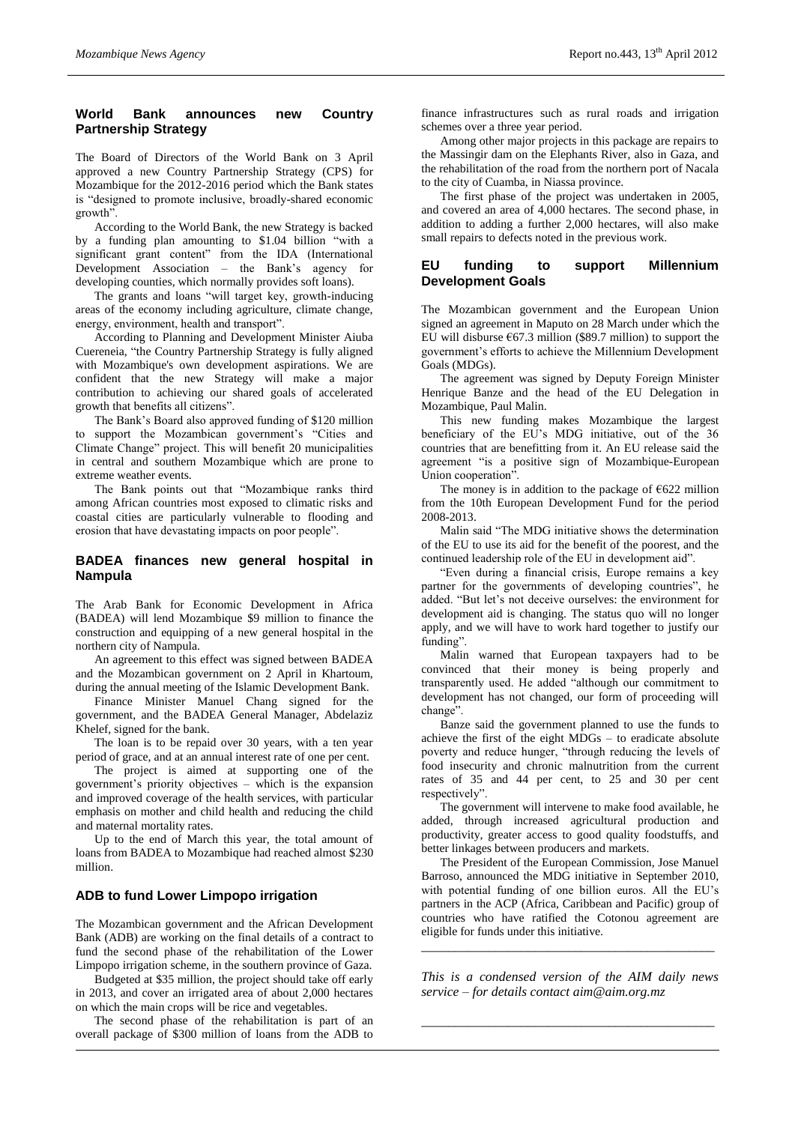# **World Bank announces new Country Partnership Strategy**

The Board of Directors of the World Bank on 3 April approved a new Country Partnership Strategy (CPS) for Mozambique for the 2012-2016 period which the Bank states is "designed to promote inclusive, broadly-shared economic growth".

According to the World Bank, the new Strategy is backed by a funding plan amounting to \$1.04 billion "with a significant grant content" from the IDA (International Development Association – the Bank's agency for developing counties, which normally provides soft loans).

The grants and loans "will target key, growth-inducing areas of the economy including agriculture, climate change, energy, environment, health and transport".

According to Planning and Development Minister Aiuba Cuereneia, "the Country Partnership Strategy is fully aligned with Mozambique's own development aspirations. We are confident that the new Strategy will make a major contribution to achieving our shared goals of accelerated growth that benefits all citizens".

The Bank's Board also approved funding of \$120 million to support the Mozambican government's "Cities and Climate Change" project. This will benefit 20 municipalities in central and southern Mozambique which are prone to extreme weather events.

The Bank points out that "Mozambique ranks third among African countries most exposed to climatic risks and coastal cities are particularly vulnerable to flooding and erosion that have devastating impacts on poor people".

# **BADEA finances new general hospital in Nampula**

The Arab Bank for Economic Development in Africa (BADEA) will lend Mozambique \$9 million to finance the construction and equipping of a new general hospital in the northern city of Nampula.

An agreement to this effect was signed between BADEA and the Mozambican government on 2 April in Khartoum, during the annual meeting of the Islamic Development Bank.

Finance Minister Manuel Chang signed for the government, and the BADEA General Manager, Abdelaziz Khelef, signed for the bank.

The loan is to be repaid over 30 years, with a ten year period of grace, and at an annual interest rate of one per cent.

The project is aimed at supporting one of the government's priority objectives – which is the expansion and improved coverage of the health services, with particular emphasis on mother and child health and reducing the child and maternal mortality rates.

Up to the end of March this year, the total amount of loans from BADEA to Mozambique had reached almost \$230 million.

### **ADB to fund Lower Limpopo irrigation**

The Mozambican government and the African Development Bank (ADB) are working on the final details of a contract to fund the second phase of the rehabilitation of the Lower Limpopo irrigation scheme, in the southern province of Gaza.

Budgeted at \$35 million, the project should take off early in 2013, and cover an irrigated area of about 2,000 hectares on which the main crops will be rice and vegetables.

The second phase of the rehabilitation is part of an overall package of \$300 million of loans from the ADB to

finance infrastructures such as rural roads and irrigation schemes over a three year period.

Among other major projects in this package are repairs to the Massingir dam on the Elephants River, also in Gaza, and the rehabilitation of the road from the northern port of Nacala to the city of Cuamba, in Niassa province.

The first phase of the project was undertaken in 2005, and covered an area of 4,000 hectares. The second phase, in addition to adding a further 2,000 hectares, will also make small repairs to defects noted in the previous work.

### **EU funding to support Millennium Development Goals**

The Mozambican government and the European Union signed an agreement in Maputo on 28 March under which the EU will disburse  $\epsilon$ 67.3 million (\$89.7 million) to support the government's efforts to achieve the Millennium Development Goals (MDGs).

The agreement was signed by Deputy Foreign Minister Henrique Banze and the head of the EU Delegation in Mozambique, Paul Malin.

This new funding makes Mozambique the largest beneficiary of the EU's MDG initiative, out of the 36 countries that are benefitting from it. An EU release said the agreement "is a positive sign of Mozambique-European Union cooperation".

The money is in addition to the package of  $E622$  million from the 10th European Development Fund for the period 2008-2013.

Malin said "The MDG initiative shows the determination of the EU to use its aid for the benefit of the poorest, and the continued leadership role of the EU in development aid".

"Even during a financial crisis, Europe remains a key partner for the governments of developing countries", he added. "But let's not deceive ourselves: the environment for development aid is changing. The status quo will no longer apply, and we will have to work hard together to justify our funding".

Malin warned that European taxpayers had to be convinced that their money is being properly and transparently used. He added "although our commitment to development has not changed, our form of proceeding will change".

Banze said the government planned to use the funds to achieve the first of the eight MDGs – to eradicate absolute poverty and reduce hunger, "through reducing the levels of food insecurity and chronic malnutrition from the current rates of 35 and 44 per cent, to 25 and 30 per cent respectively".

The government will intervene to make food available, he added, through increased agricultural production and productivity, greater access to good quality foodstuffs, and better linkages between producers and markets.

The President of the European Commission, Jose Manuel Barroso, announced the MDG initiative in September 2010, with potential funding of one billion euros. All the EU's partners in the ACP (Africa, Caribbean and Pacific) group of countries who have ratified the Cotonou agreement are eligible for funds under this initiative.

*This is a condensed version of the AIM daily news service – for details contact [aim@aim.org.mz](mailto:aim@aim.org.mz)*

*\_\_\_\_\_\_\_\_\_\_\_\_\_\_\_\_\_\_\_\_\_\_\_\_\_\_\_\_\_\_\_\_\_\_\_\_\_\_\_\_\_\_\_\_*

*\_\_\_\_\_\_\_\_\_\_\_\_\_\_\_\_\_\_\_\_\_\_\_\_\_\_\_\_\_\_\_\_\_\_\_\_\_\_\_\_\_\_\_\_*